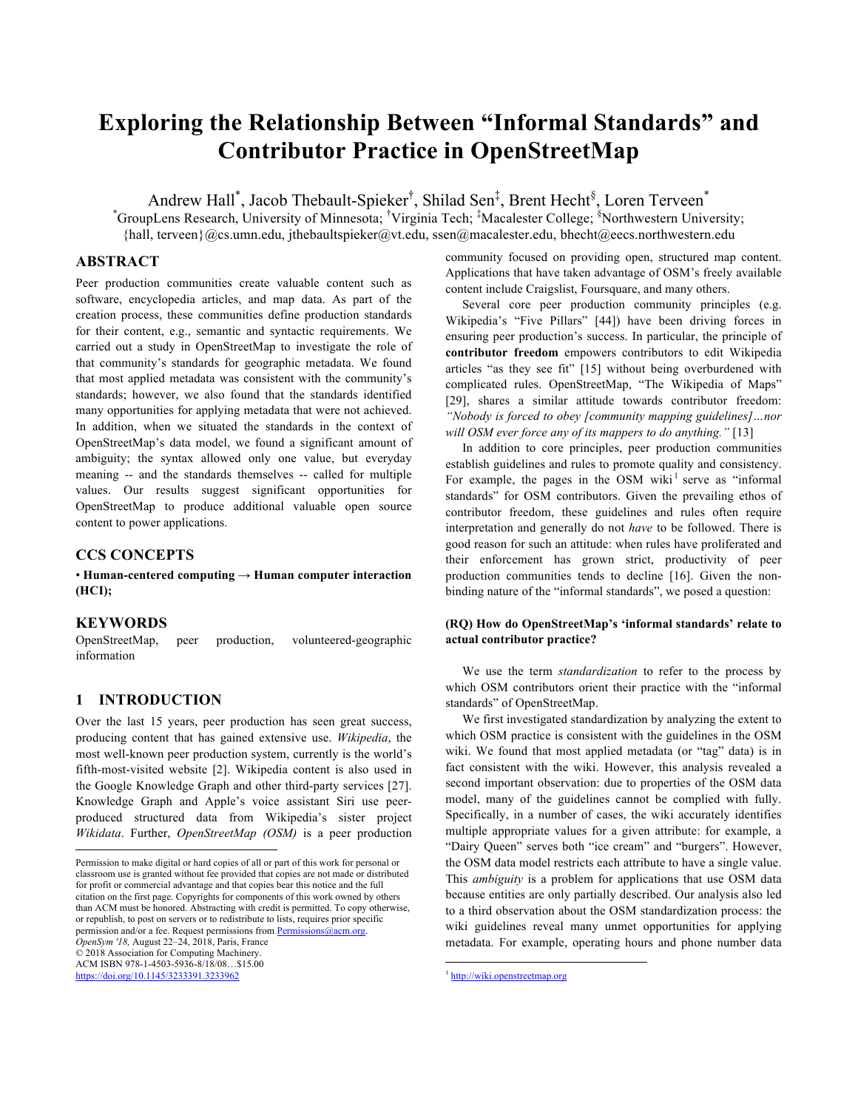# **Exploring the Relationship Between "Informal Standards" and Contributor Practice in OpenStreetMap**

Andrew Hall<sup>\*</sup>, Jacob Thebault-Spieker<sup>†</sup>, Shilad Sen<sup>‡</sup>, Brent Hecht<sup>§</sup>, Loren Terveen<sup>\*</sup>

\* GroupLens Research, University of Minnesota; † Virginia Tech; ‡ Macalester College; § Northwestern University; {hall, terveen}@cs.umn.edu, jthebaultspieker@vt.edu, ssen@macalester.edu, bhecht@eecs.northwestern.edu

## **ABSTRACT**

Peer production communities create valuable content such as software, encyclopedia articles, and map data. As part of the creation process, these communities define production standards for their content, e.g., semantic and syntactic requirements. We carried out a study in OpenStreetMap to investigate the role of that community's standards for geographic metadata. We found that most applied metadata was consistent with the community's standards; however, we also found that the standards identified many opportunities for applying metadata that were not achieved. In addition, when we situated the standards in the context of OpenStreetMap's data model, we found a significant amount of ambiguity; the syntax allowed only one value, but everyday meaning -- and the standards themselves -- called for multiple values. Our results suggest significant opportunities for OpenStreetMap to produce additional valuable open source content to power applications.

## **CCS CONCEPTS**

• **Human-centered computing** → **Human computer interaction (HCI);**

## **KEYWORDS**

 $\overline{a}$ 

OpenStreetMap, peer production, volunteered-geographic information

## **1 INTRODUCTION**

Over the last 15 years, peer production has seen great success, producing content that has gained extensive use. *Wikipedia*, the most well-known peer production system, currently is the world's fifth-most-visited website [2]. Wikipedia content is also used in the Google Knowledge Graph and other third-party services [27]. Knowledge Graph and Apple's voice assistant Siri use peerproduced structured data from Wikipedia's sister project *Wikidata*. Further, *OpenStreetMap (OSM)* is a peer production

community focused on providing open, structured map content. Applications that have taken advantage of OSM's freely available content include Craigslist, Foursquare, and many others.

Several core peer production community principles (e.g. Wikipedia's "Five Pillars" [44]) have been driving forces in ensuring peer production's success. In particular, the principle of **contributor freedom** empowers contributors to edit Wikipedia articles "as they see fit" [15] without being overburdened with complicated rules. OpenStreetMap, "The Wikipedia of Maps" [29], shares a similar attitude towards contributor freedom: *"Nobody is forced to obey [community mapping guidelines]…nor will OSM ever force any of its mappers to do anything."* [13]

In addition to core principles, peer production communities establish guidelines and rules to promote quality and consistency. For example, the pages in the OSM wiki<sup>1</sup> serve as "informal" standards" for OSM contributors. Given the prevailing ethos of contributor freedom, these guidelines and rules often require interpretation and generally do not *have* to be followed. There is good reason for such an attitude: when rules have proliferated and their enforcement has grown strict, productivity of peer production communities tends to decline [16]. Given the nonbinding nature of the "informal standards", we posed a question:

#### **(RQ) How do OpenStreetMap's 'informal standards' relate to actual contributor practice?**

We use the term *standardization* to refer to the process by which OSM contributors orient their practice with the "informal standards" of OpenStreetMap.

We first investigated standardization by analyzing the extent to which OSM practice is consistent with the guidelines in the OSM wiki. We found that most applied metadata (or "tag" data) is in fact consistent with the wiki. However, this analysis revealed a second important observation: due to properties of the OSM data model, many of the guidelines cannot be complied with fully. Specifically, in a number of cases, the wiki accurately identifies multiple appropriate values for a given attribute: for example, a "Dairy Queen" serves both "ice cream" and "burgers". However, the OSM data model restricts each attribute to have a single value. This *ambiguity* is a problem for applications that use OSM data because entities are only partially described. Our analysis also led to a third observation about the OSM standardization process: the wiki guidelines reveal many unmet opportunities for applying metadata. For example, operating hours and phone number data

Permission to make digital or hard copies of all or part of this work for personal or classroom use is granted without fee provided that copies are not made or distributed for profit or commercial advantage and that copies bear this notice and the full citation on the first page. Copyrights for components of this work owned by others than ACM must be honored. Abstracting with credit is permitted. To copy otherwise, or republish, to post on servers or to redistribute to lists, requires prior specific permission and/or a fee. Request permissions from Permissions@acm.org. *OpenSym '18,* August 22–24, 2018, Paris, France © 2018 Association for Computing Machinery. ACM ISBN 978-1-4503-5936-8/18/08…\$15.00 https://doi.org/10.1145/3233391.3233962

<sup>&</sup>lt;sup>1</sup> http://wiki.openstreetmap.org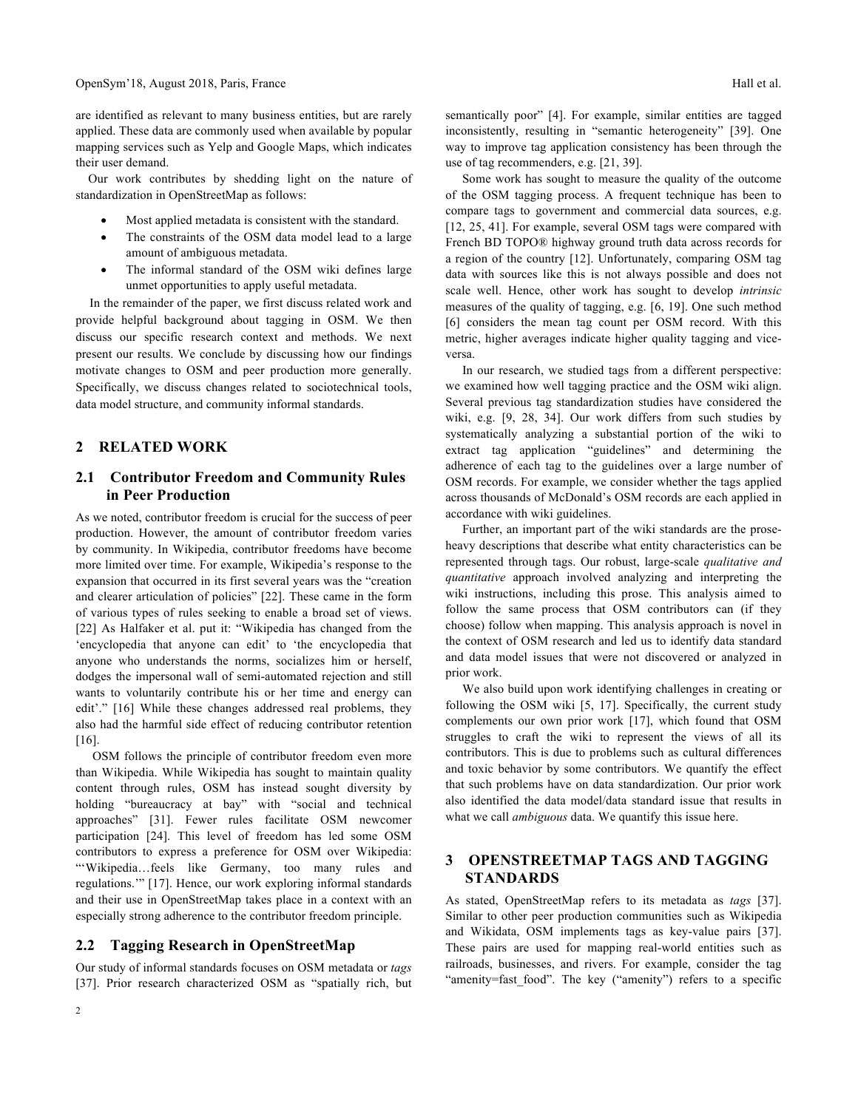are identified as relevant to many business entities, but are rarely applied. These data are commonly used when available by popular mapping services such as Yelp and Google Maps, which indicates their user demand.

Our work contributes by shedding light on the nature of standardization in OpenStreetMap as follows:

- Most applied metadata is consistent with the standard.
- The constraints of the OSM data model lead to a large amount of ambiguous metadata.
- The informal standard of the OSM wiki defines large unmet opportunities to apply useful metadata.

In the remainder of the paper, we first discuss related work and provide helpful background about tagging in OSM. We then discuss our specific research context and methods. We next present our results. We conclude by discussing how our findings motivate changes to OSM and peer production more generally. Specifically, we discuss changes related to sociotechnical tools, data model structure, and community informal standards.

## **2 RELATED WORK**

## **2.1 Contributor Freedom and Community Rules in Peer Production**

As we noted, contributor freedom is crucial for the success of peer production. However, the amount of contributor freedom varies by community. In Wikipedia, contributor freedoms have become more limited over time. For example, Wikipedia's response to the expansion that occurred in its first several years was the "creation and clearer articulation of policies" [22]. These came in the form of various types of rules seeking to enable a broad set of views. [22] As Halfaker et al. put it: "Wikipedia has changed from the 'encyclopedia that anyone can edit' to 'the encyclopedia that anyone who understands the norms, socializes him or herself, dodges the impersonal wall of semi-automated rejection and still wants to voluntarily contribute his or her time and energy can edit'." [16] While these changes addressed real problems, they also had the harmful side effect of reducing contributor retention [16].

OSM follows the principle of contributor freedom even more than Wikipedia. While Wikipedia has sought to maintain quality content through rules, OSM has instead sought diversity by holding "bureaucracy at bay" with "social and technical approaches" [31]. Fewer rules facilitate OSM newcomer participation [24]. This level of freedom has led some OSM contributors to express a preference for OSM over Wikipedia: "'Wikipedia…feels like Germany, too many rules and regulations.'" [17]. Hence, our work exploring informal standards and their use in OpenStreetMap takes place in a context with an especially strong adherence to the contributor freedom principle.

#### **2.2 Tagging Research in OpenStreetMap**

Our study of informal standards focuses on OSM metadata or *tags* [37]. Prior research characterized OSM as "spatially rich, but semantically poor" [4]. For example, similar entities are tagged inconsistently, resulting in "semantic heterogeneity" [39]. One way to improve tag application consistency has been through the use of tag recommenders, e.g. [21, 39].

Some work has sought to measure the quality of the outcome of the OSM tagging process. A frequent technique has been to compare tags to government and commercial data sources, e.g. [12, 25, 41]. For example, several OSM tags were compared with French BD TOPO® highway ground truth data across records for a region of the country [12]. Unfortunately, comparing OSM tag data with sources like this is not always possible and does not scale well. Hence, other work has sought to develop *intrinsic* measures of the quality of tagging, e.g. [6, 19]. One such method [6] considers the mean tag count per OSM record. With this metric, higher averages indicate higher quality tagging and viceversa.

In our research, we studied tags from a different perspective: we examined how well tagging practice and the OSM wiki align. Several previous tag standardization studies have considered the wiki, e.g. [9, 28, 34]. Our work differs from such studies by systematically analyzing a substantial portion of the wiki to extract tag application "guidelines" and determining the adherence of each tag to the guidelines over a large number of OSM records. For example, we consider whether the tags applied across thousands of McDonald's OSM records are each applied in accordance with wiki guidelines.

Further, an important part of the wiki standards are the proseheavy descriptions that describe what entity characteristics can be represented through tags. Our robust, large-scale *qualitative and quantitative* approach involved analyzing and interpreting the wiki instructions, including this prose. This analysis aimed to follow the same process that OSM contributors can (if they choose) follow when mapping. This analysis approach is novel in the context of OSM research and led us to identify data standard and data model issues that were not discovered or analyzed in prior work.

We also build upon work identifying challenges in creating or following the OSM wiki [5, 17]. Specifically, the current study complements our own prior work [17], which found that OSM struggles to craft the wiki to represent the views of all its contributors. This is due to problems such as cultural differences and toxic behavior by some contributors. We quantify the effect that such problems have on data standardization. Our prior work also identified the data model/data standard issue that results in what we call *ambiguous* data. We quantify this issue here.

## **3 OPENSTREETMAP TAGS AND TAGGING STANDARDS**

As stated, OpenStreetMap refers to its metadata as *tags* [37]. Similar to other peer production communities such as Wikipedia and Wikidata, OSM implements tags as key-value pairs [37]. These pairs are used for mapping real-world entities such as railroads, businesses, and rivers. For example, consider the tag "amenity=fast food". The key ("amenity") refers to a specific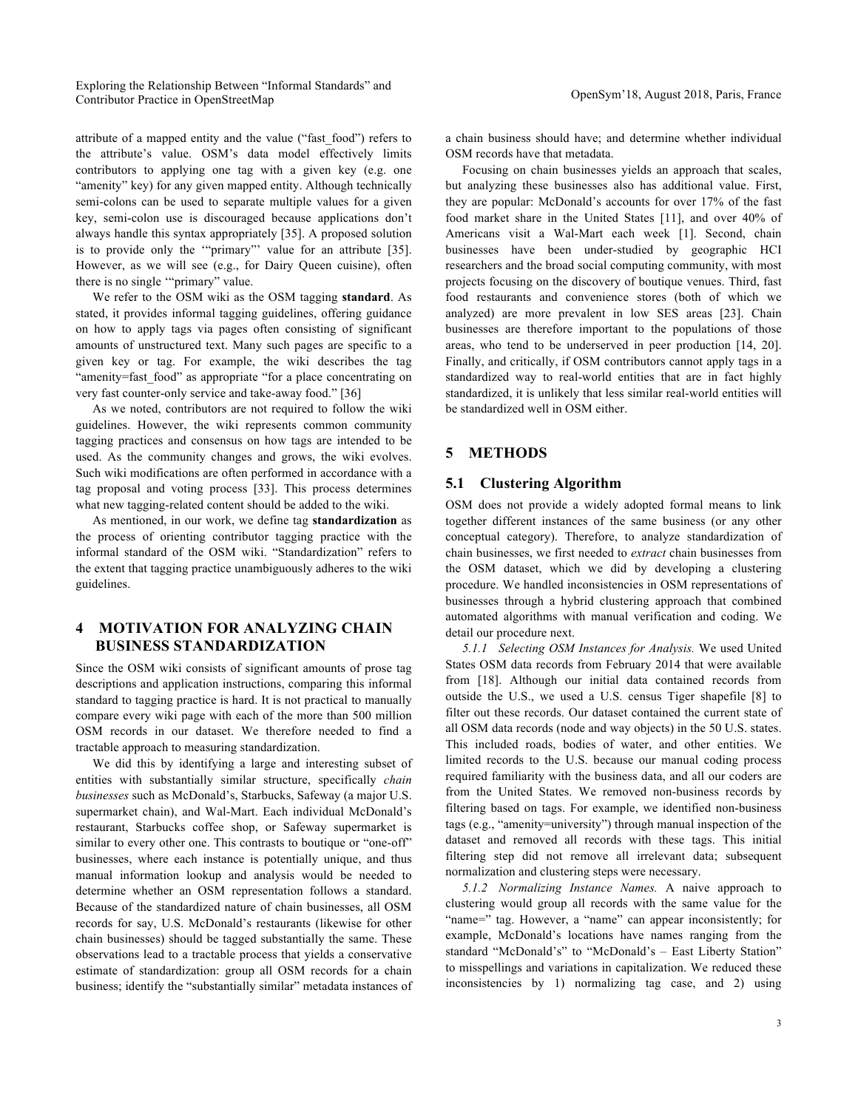Exploring the Relationship Between "Informal Standards" and Contributor Practice in OpenStreetMap Contributor Practice in OpenStreetMap OpenSym'18, August 2018, Paris, France

attribute of a mapped entity and the value ("fast\_food") refers to the attribute's value. OSM's data model effectively limits contributors to applying one tag with a given key (e.g. one "amenity" key) for any given mapped entity. Although technically semi-colons can be used to separate multiple values for a given key, semi-colon use is discouraged because applications don't always handle this syntax appropriately [35]. A proposed solution is to provide only the '"primary"' value for an attribute [35]. However, as we will see (e.g., for Dairy Queen cuisine), often there is no single '"primary" value.

We refer to the OSM wiki as the OSM tagging **standard**. As stated, it provides informal tagging guidelines, offering guidance on how to apply tags via pages often consisting of significant amounts of unstructured text. Many such pages are specific to a given key or tag. For example, the wiki describes the tag "amenity=fast food" as appropriate "for a place concentrating on very fast counter-only service and take-away food." [36]

As we noted, contributors are not required to follow the wiki guidelines. However, the wiki represents common community tagging practices and consensus on how tags are intended to be used. As the community changes and grows, the wiki evolves. Such wiki modifications are often performed in accordance with a tag proposal and voting process [33]. This process determines what new tagging-related content should be added to the wiki.

As mentioned, in our work, we define tag **standardization** as the process of orienting contributor tagging practice with the informal standard of the OSM wiki. "Standardization" refers to the extent that tagging practice unambiguously adheres to the wiki guidelines.

## **4 MOTIVATION FOR ANALYZING CHAIN BUSINESS STANDARDIZATION**

Since the OSM wiki consists of significant amounts of prose tag descriptions and application instructions, comparing this informal standard to tagging practice is hard. It is not practical to manually compare every wiki page with each of the more than 500 million OSM records in our dataset. We therefore needed to find a tractable approach to measuring standardization.

We did this by identifying a large and interesting subset of entities with substantially similar structure, specifically *chain businesses* such as McDonald's, Starbucks, Safeway (a major U.S. supermarket chain), and Wal-Mart. Each individual McDonald's restaurant, Starbucks coffee shop, or Safeway supermarket is similar to every other one. This contrasts to boutique or "one-off" businesses, where each instance is potentially unique, and thus manual information lookup and analysis would be needed to determine whether an OSM representation follows a standard. Because of the standardized nature of chain businesses, all OSM records for say, U.S. McDonald's restaurants (likewise for other chain businesses) should be tagged substantially the same. These observations lead to a tractable process that yields a conservative estimate of standardization: group all OSM records for a chain business; identify the "substantially similar" metadata instances of a chain business should have; and determine whether individual OSM records have that metadata.

Focusing on chain businesses yields an approach that scales, but analyzing these businesses also has additional value. First, they are popular: McDonald's accounts for over 17% of the fast food market share in the United States [11], and over 40% of Americans visit a Wal-Mart each week [1]. Second, chain businesses have been under-studied by geographic HCI researchers and the broad social computing community, with most projects focusing on the discovery of boutique venues. Third, fast food restaurants and convenience stores (both of which we analyzed) are more prevalent in low SES areas [23]. Chain businesses are therefore important to the populations of those areas, who tend to be underserved in peer production [14, 20]. Finally, and critically, if OSM contributors cannot apply tags in a standardized way to real-world entities that are in fact highly standardized, it is unlikely that less similar real-world entities will be standardized well in OSM either.

## **5 METHODS**

#### **5.1 Clustering Algorithm**

OSM does not provide a widely adopted formal means to link together different instances of the same business (or any other conceptual category). Therefore, to analyze standardization of chain businesses, we first needed to *extract* chain businesses from the OSM dataset, which we did by developing a clustering procedure. We handled inconsistencies in OSM representations of businesses through a hybrid clustering approach that combined automated algorithms with manual verification and coding. We detail our procedure next.

*5.1.1 Selecting OSM Instances for Analysis.* We used United States OSM data records from February 2014 that were available from [18]. Although our initial data contained records from outside the U.S., we used a U.S. census Tiger shapefile [8] to filter out these records. Our dataset contained the current state of all OSM data records (node and way objects) in the 50 U.S. states. This included roads, bodies of water, and other entities. We limited records to the U.S. because our manual coding process required familiarity with the business data, and all our coders are from the United States. We removed non-business records by filtering based on tags. For example, we identified non-business tags (e.g., "amenity=university") through manual inspection of the dataset and removed all records with these tags. This initial filtering step did not remove all irrelevant data; subsequent normalization and clustering steps were necessary.

*5.1.2 Normalizing Instance Names.* A naive approach to clustering would group all records with the same value for the "name=" tag. However, a "name" can appear inconsistently; for example, McDonald's locations have names ranging from the standard "McDonald's" to "McDonald's – East Liberty Station" to misspellings and variations in capitalization. We reduced these inconsistencies by 1) normalizing tag case, and 2) using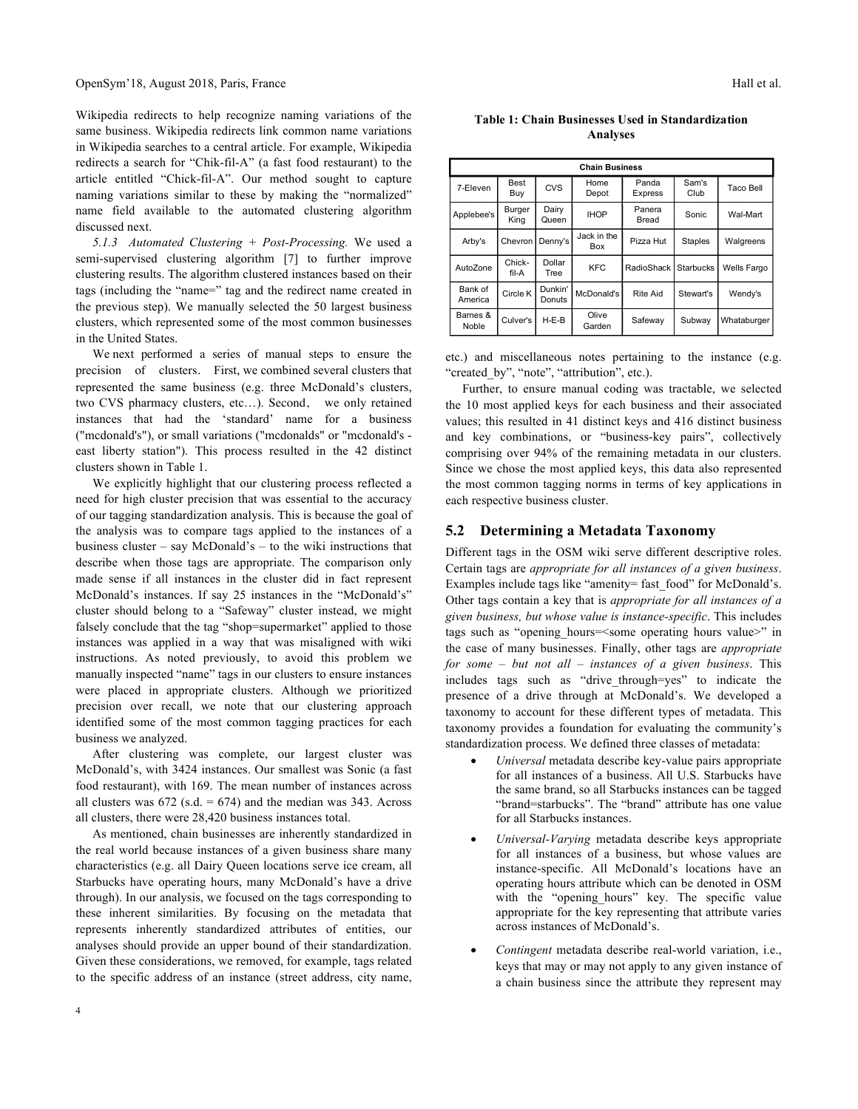Wikipedia redirects to help recognize naming variations of the same business. Wikipedia redirects link common name variations in Wikipedia searches to a central article. For example, Wikipedia redirects a search for "Chik-fil-A" (a fast food restaurant) to the article entitled "Chick-fil-A". Our method sought to capture naming variations similar to these by making the "normalized" name field available to the automated clustering algorithm discussed next.

*5.1.3 Automated Clustering + Post-Processing.* We used a semi-supervised clustering algorithm [7] to further improve clustering results. The algorithm clustered instances based on their tags (including the "name=" tag and the redirect name created in the previous step). We manually selected the 50 largest business clusters, which represented some of the most common businesses in the United States.

We next performed a series of manual steps to ensure the precision of clusters. First, we combined several clusters that represented the same business (e.g. three McDonald's clusters, two CVS pharmacy clusters, etc…). Second, we only retained instances that had the 'standard' name for a business ("mcdonald's"), or small variations ("mcdonalds" or "mcdonald's east liberty station"). This process resulted in the 42 distinct clusters shown in Table 1.

We explicitly highlight that our clustering process reflected a need for high cluster precision that was essential to the accuracy of our tagging standardization analysis. This is because the goal of the analysis was to compare tags applied to the instances of a business cluster – say McDonald's – to the wiki instructions that describe when those tags are appropriate. The comparison only made sense if all instances in the cluster did in fact represent McDonald's instances. If say 25 instances in the "McDonald's" cluster should belong to a "Safeway" cluster instead, we might falsely conclude that the tag "shop=supermarket" applied to those instances was applied in a way that was misaligned with wiki instructions. As noted previously, to avoid this problem we manually inspected "name" tags in our clusters to ensure instances were placed in appropriate clusters. Although we prioritized precision over recall, we note that our clustering approach identified some of the most common tagging practices for each business we analyzed.

After clustering was complete, our largest cluster was McDonald's, with 3424 instances. Our smallest was Sonic (a fast food restaurant), with 169. The mean number of instances across all clusters was  $672$  (s.d. =  $674$ ) and the median was 343. Across all clusters, there were 28,420 business instances total.

As mentioned, chain businesses are inherently standardized in the real world because instances of a given business share many characteristics (e.g. all Dairy Queen locations serve ice cream, all Starbucks have operating hours, many McDonald's have a drive through). In our analysis, we focused on the tags corresponding to these inherent similarities. By focusing on the metadata that represents inherently standardized attributes of entities, our analyses should provide an upper bound of their standardization. Given these considerations, we removed, for example, tags related to the specific address of an instance (street address, city name,

|          |  | <b>Table 1: Chain Businesses Used in Standardization</b> |  |  |  |  |
|----------|--|----------------------------------------------------------|--|--|--|--|
| Analyses |  |                                                          |  |  |  |  |

| <b>Chain Business</b> |                    |                   |                    |                         |                  |             |
|-----------------------|--------------------|-------------------|--------------------|-------------------------|------------------|-------------|
| 7-Eleven              | <b>Best</b><br>Buy | <b>CVS</b>        | Home<br>Depot      | Panda<br><b>Express</b> | Sam's<br>Club    | Taco Bell   |
| Applebee's            | Burger<br>King     | Dairy<br>Queen    | <b>IHOP</b>        | Panera<br>Bread         | Sonic            | Wal-Mart    |
| Arby's                | Chevron            | Denny's           | Jack in the<br>Box | Pizza Hut               | Staples          | Walgreens   |
| AutoZone              | Chick-<br>fil-A    | Dollar<br>Tree    | <b>KFC</b>         | RadioShack              | <b>Starbucks</b> | Wells Fargo |
| Bank of<br>America    | Circle K           | Dunkin'<br>Donuts | McDonald's         | Rite Aid                | Stewart's        | Wendy's     |
| Barnes &<br>Noble     | Culver's           | $H-E-B$           | Olive<br>Garden    | Safeway                 | Subway           | Whataburger |

etc.) and miscellaneous notes pertaining to the instance (e.g. "created by", "note", "attribution", etc.).

Further, to ensure manual coding was tractable, we selected the 10 most applied keys for each business and their associated values; this resulted in 41 distinct keys and 416 distinct business and key combinations, or "business-key pairs", collectively comprising over 94% of the remaining metadata in our clusters. Since we chose the most applied keys, this data also represented the most common tagging norms in terms of key applications in each respective business cluster.

#### **5.2 Determining a Metadata Taxonomy**

Different tags in the OSM wiki serve different descriptive roles. Certain tags are *appropriate for all instances of a given business*. Examples include tags like "amenity= fast food" for McDonald's. Other tags contain a key that is *appropriate for all instances of a given business, but whose value is instance-specific*. This includes tags such as "opening hours=<some operating hours value>" in the case of many businesses. Finally, other tags are *appropriate for some – but not all – instances of a given business*. This includes tags such as "drive\_through=yes" to indicate the presence of a drive through at McDonald's. We developed a taxonomy to account for these different types of metadata. This taxonomy provides a foundation for evaluating the community's standardization process. We defined three classes of metadata:

- *Universal* metadata describe key-value pairs appropriate for all instances of a business. All U.S. Starbucks have the same brand, so all Starbucks instances can be tagged "brand=starbucks". The "brand" attribute has one value for all Starbucks instances.
- *Universal-Varying* metadata describe keys appropriate for all instances of a business, but whose values are instance-specific. All McDonald's locations have an operating hours attribute which can be denoted in OSM with the "opening hours" key. The specific value appropriate for the key representing that attribute varies across instances of McDonald's.
- *Contingent* metadata describe real-world variation, i.e., keys that may or may not apply to any given instance of a chain business since the attribute they represent may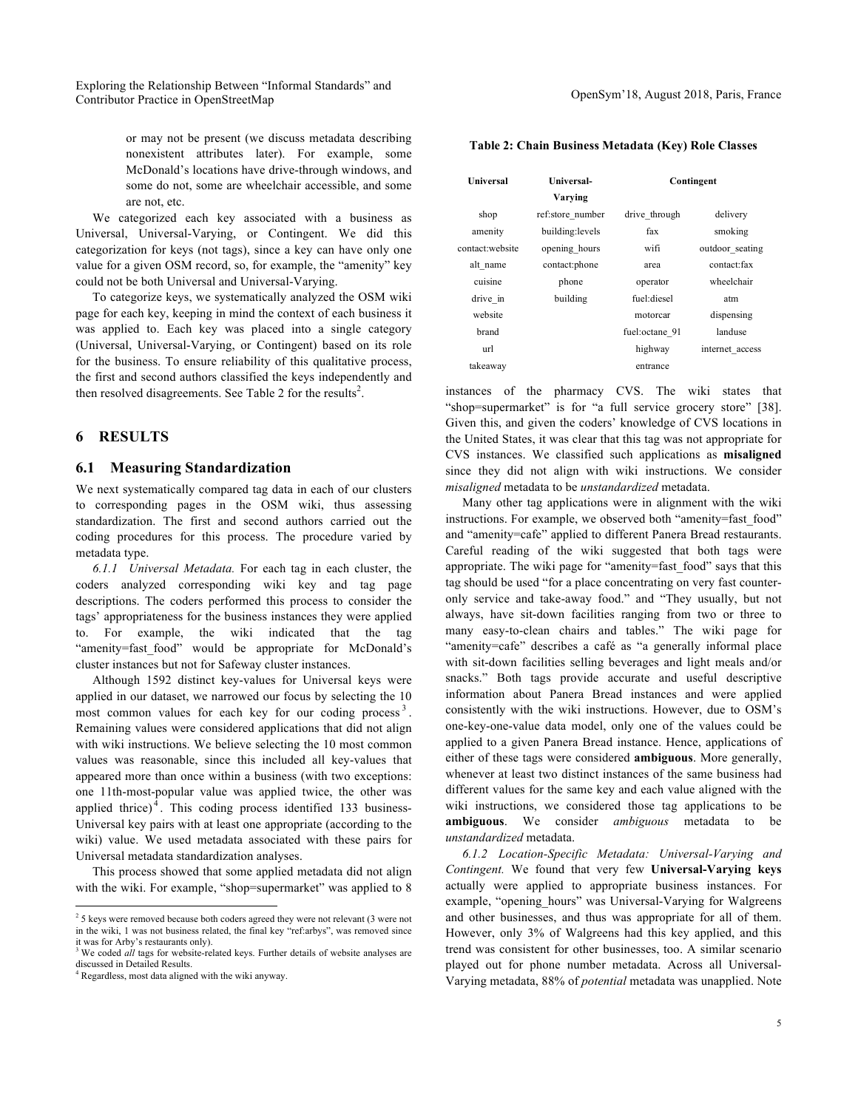Exploring the Relationship Between "Informal Standards" and Contributor Practice in OpenStreetMap Contributor Practice in OpenStreetMap OpenSym'18, August 2018, Paris, France

or may not be present (we discuss metadata describing nonexistent attributes later). For example, some McDonald's locations have drive-through windows, and some do not, some are wheelchair accessible, and some are not, etc.

We categorized each key associated with a business as Universal, Universal-Varying, or Contingent. We did this categorization for keys (not tags), since a key can have only one value for a given OSM record, so, for example, the "amenity" key could not be both Universal and Universal-Varying.

To categorize keys, we systematically analyzed the OSM wiki page for each key, keeping in mind the context of each business it was applied to. Each key was placed into a single category (Universal, Universal-Varying, or Contingent) based on its role for the business. To ensure reliability of this qualitative process, the first and second authors classified the keys independently and then resolved disagreements. See Table 2 for the results<sup>2</sup>.

### **6 RESULTS**

#### **6.1 Measuring Standardization**

We next systematically compared tag data in each of our clusters to corresponding pages in the OSM wiki, thus assessing standardization. The first and second authors carried out the coding procedures for this process. The procedure varied by metadata type.

*6.1.1 Universal Metadata.* For each tag in each cluster, the coders analyzed corresponding wiki key and tag page descriptions. The coders performed this process to consider the tags' appropriateness for the business instances they were applied to. For example, the wiki indicated that the tag "amenity=fast food" would be appropriate for McDonald's cluster instances but not for Safeway cluster instances.

Although 1592 distinct key-values for Universal keys were applied in our dataset, we narrowed our focus by selecting the 10 most common values for each key for our coding process<sup>3</sup>. Remaining values were considered applications that did not align with wiki instructions. We believe selecting the 10 most common values was reasonable, since this included all key-values that appeared more than once within a business (with two exceptions: one 11th-most-popular value was applied twice, the other was applied thrice)<sup> $4$ </sup>. This coding process identified 133 business-Universal key pairs with at least one appropriate (according to the wiki) value. We used metadata associated with these pairs for Universal metadata standardization analyses.

This process showed that some applied metadata did not align with the wiki. For example, "shop=supermarket" was applied to 8

|  | Table 2: Chain Business Metadata (Key) Role Classes |  |  |
|--|-----------------------------------------------------|--|--|
|  |                                                     |  |  |

| <b>Universal</b> | <b>Universal-</b><br>Varving | Contingent     |                 |  |
|------------------|------------------------------|----------------|-----------------|--|
|                  |                              |                |                 |  |
| shop             | ref:store number             | drive through  | delivery        |  |
| amenity          | building: levels             | fax            | smoking         |  |
| contact: website | opening hours                | wifi           | outdoor seating |  |
| alt name         | contact:phone                | area           | contact:fax     |  |
| cuisine          | phone                        | operator       | wheelchair      |  |
| drive in         | building                     | fuel diesel    | atm             |  |
| website          |                              | motorcar       | dispensing      |  |
| brand            |                              | fuel:octane 91 | landuse         |  |
| url              |                              | highway        | internet access |  |
| takeaway         |                              | entrance       |                 |  |
|                  |                              |                |                 |  |

instances of the pharmacy CVS. The wiki states that "shop=supermarket" is for "a full service grocery store" [38]. Given this, and given the coders' knowledge of CVS locations in the United States, it was clear that this tag was not appropriate for CVS instances. We classified such applications as **misaligned** since they did not align with wiki instructions. We consider *misaligned* metadata to be *unstandardized* metadata.

Many other tag applications were in alignment with the wiki instructions. For example, we observed both "amenity=fast\_food" and "amenity=cafe" applied to different Panera Bread restaurants. Careful reading of the wiki suggested that both tags were appropriate. The wiki page for "amenity=fast\_food" says that this tag should be used "for a place concentrating on very fast counteronly service and take-away food." and "They usually, but not always, have sit-down facilities ranging from two or three to many easy-to-clean chairs and tables." The wiki page for "amenity=cafe" describes a café as "a generally informal place with sit-down facilities selling beverages and light meals and/or snacks." Both tags provide accurate and useful descriptive information about Panera Bread instances and were applied consistently with the wiki instructions. However, due to OSM's one-key-one-value data model, only one of the values could be applied to a given Panera Bread instance. Hence, applications of either of these tags were considered **ambiguous**. More generally, whenever at least two distinct instances of the same business had different values for the same key and each value aligned with the wiki instructions, we considered those tag applications to be **ambiguous**. We consider *ambiguous* metadata to be *unstandardized* metadata.

*6.1.2 Location-Specific Metadata: Universal-Varying and Contingent.* We found that very few **Universal-Varying keys**  actually were applied to appropriate business instances. For example, "opening hours" was Universal-Varying for Walgreens and other businesses, and thus was appropriate for all of them. However, only 3% of Walgreens had this key applied, and this trend was consistent for other businesses, too. A similar scenario played out for phone number metadata. Across all Universal-Varying metadata, 88% of *potential* metadata was unapplied. Note

<sup>&</sup>lt;sup>2</sup> 5 keys were removed because both coders agreed they were not relevant (3 were not in the wiki, 1 was not business related, the final key "ref:arbys", was removed since it was for Arby's restaurants only).

<sup>&</sup>lt;sup>3</sup> We coded *all* tags for website-related keys. Further details of website analyses are discussed in Detailed Results.

<sup>&</sup>lt;sup>4</sup> Regardless, most data aligned with the wiki anyway.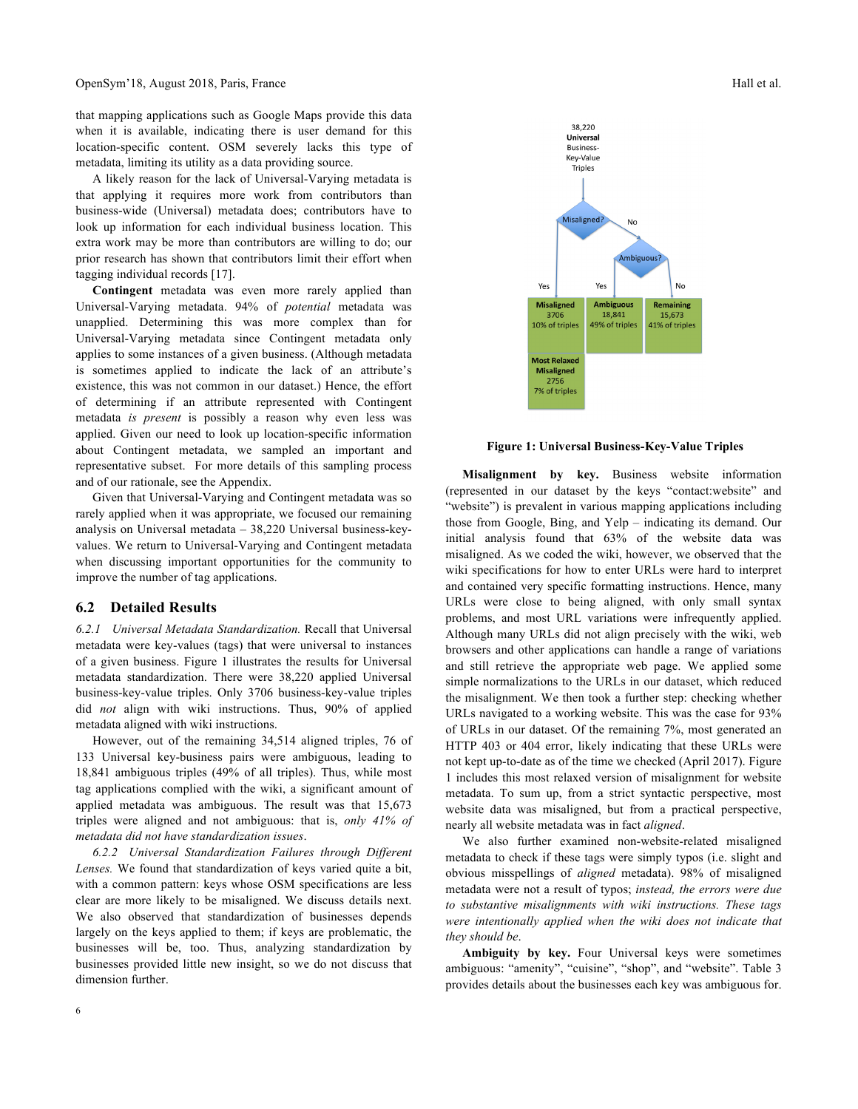that mapping applications such as Google Maps provide this data when it is available, indicating there is user demand for this location-specific content. OSM severely lacks this type of metadata, limiting its utility as a data providing source.

A likely reason for the lack of Universal-Varying metadata is that applying it requires more work from contributors than business-wide (Universal) metadata does; contributors have to look up information for each individual business location. This extra work may be more than contributors are willing to do; our prior research has shown that contributors limit their effort when tagging individual records [17].

**Contingent** metadata was even more rarely applied than Universal-Varying metadata. 94% of *potential* metadata was unapplied. Determining this was more complex than for Universal-Varying metadata since Contingent metadata only applies to some instances of a given business. (Although metadata is sometimes applied to indicate the lack of an attribute's existence, this was not common in our dataset.) Hence, the effort of determining if an attribute represented with Contingent metadata *is present* is possibly a reason why even less was applied. Given our need to look up location-specific information about Contingent metadata, we sampled an important and representative subset. For more details of this sampling process and of our rationale, see the Appendix.

Given that Universal-Varying and Contingent metadata was so rarely applied when it was appropriate, we focused our remaining analysis on Universal metadata – 38,220 Universal business-keyvalues. We return to Universal-Varying and Contingent metadata when discussing important opportunities for the community to improve the number of tag applications.

## **6.2 Detailed Results**

*6.2.1 Universal Metadata Standardization.* Recall that Universal metadata were key-values (tags) that were universal to instances of a given business. Figure 1 illustrates the results for Universal metadata standardization. There were 38,220 applied Universal business-key-value triples. Only 3706 business-key-value triples did *not* align with wiki instructions. Thus, 90% of applied metadata aligned with wiki instructions.

However, out of the remaining 34,514 aligned triples, 76 of 133 Universal key-business pairs were ambiguous, leading to 18,841 ambiguous triples (49% of all triples). Thus, while most tag applications complied with the wiki, a significant amount of applied metadata was ambiguous. The result was that 15,673 triples were aligned and not ambiguous: that is, *only 41% of metadata did not have standardization issues*.

*6.2.2 Universal Standardization Failures through Different Lenses.* We found that standardization of keys varied quite a bit, with a common pattern: keys whose OSM specifications are less clear are more likely to be misaligned. We discuss details next. We also observed that standardization of businesses depends largely on the keys applied to them; if keys are problematic, the businesses will be, too. Thus, analyzing standardization by businesses provided little new insight, so we do not discuss that dimension further.





**Figure 1: Universal Business-Key-Value Triples**

**Misalignment by key.** Business website information (represented in our dataset by the keys "contact:website" and "website") is prevalent in various mapping applications including those from Google, Bing, and Yelp – indicating its demand. Our initial analysis found that 63% of the website data was misaligned. As we coded the wiki, however, we observed that the wiki specifications for how to enter URLs were hard to interpret and contained very specific formatting instructions. Hence, many URLs were close to being aligned, with only small syntax problems, and most URL variations were infrequently applied. Although many URLs did not align precisely with the wiki, web browsers and other applications can handle a range of variations and still retrieve the appropriate web page. We applied some simple normalizations to the URLs in our dataset, which reduced the misalignment. We then took a further step: checking whether URLs navigated to a working website. This was the case for 93% of URLs in our dataset. Of the remaining 7%, most generated an HTTP 403 or 404 error, likely indicating that these URLs were not kept up-to-date as of the time we checked (April 2017). Figure 1 includes this most relaxed version of misalignment for website metadata. To sum up, from a strict syntactic perspective, most website data was misaligned, but from a practical perspective, nearly all website metadata was in fact *aligned*.

We also further examined non-website-related misaligned metadata to check if these tags were simply typos (i.e. slight and obvious misspellings of *aligned* metadata). 98% of misaligned metadata were not a result of typos; *instead, the errors were due to substantive misalignments with wiki instructions. These tags were intentionally applied when the wiki does not indicate that they should be*.

**Ambiguity by key.** Four Universal keys were sometimes ambiguous: "amenity", "cuisine", "shop", and "website". Table 3 provides details about the businesses each key was ambiguous for.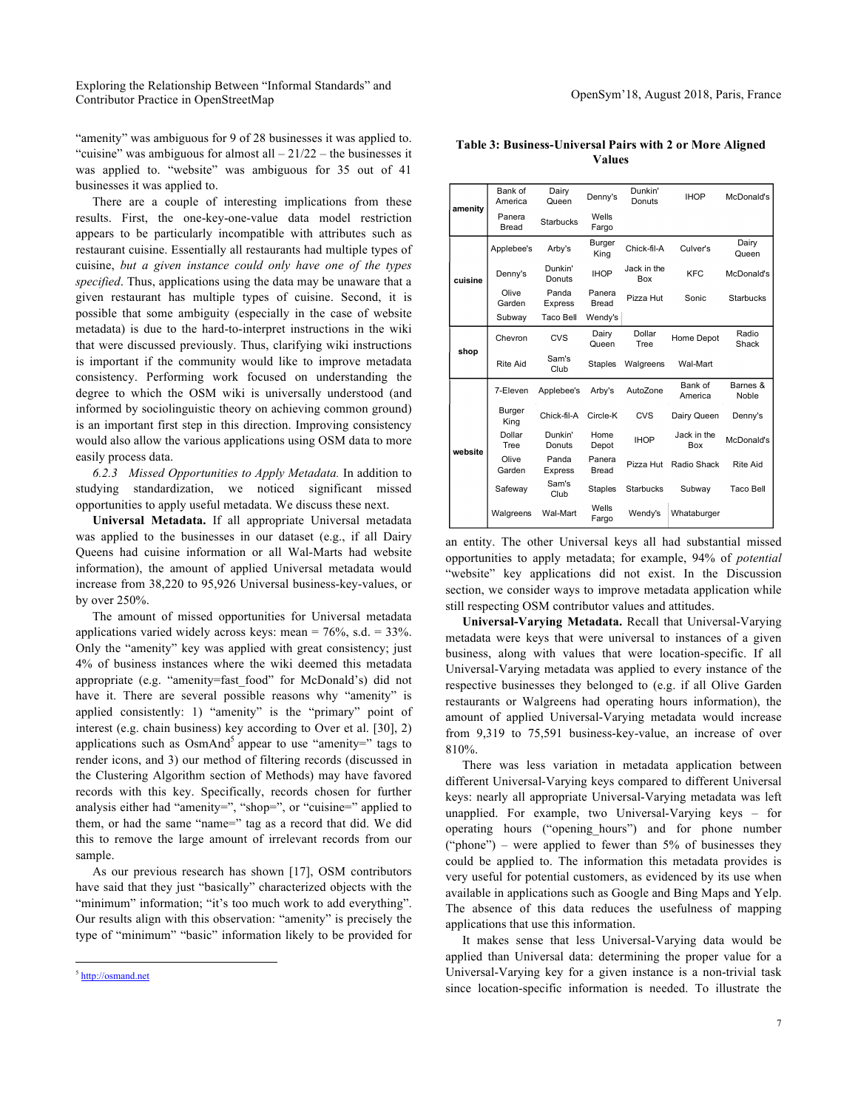Exploring the Relationship Between "Informal Standards" and Contributor Practice in OpenStreetMap Contributor Practice in OpenStreetMap OpenSym'18, August 2018, Paris, France

"amenity" was ambiguous for 9 of 28 businesses it was applied to. "cuisine" was ambiguous for almost all  $-21/22$  – the businesses it was applied to. "website" was ambiguous for 35 out of 41 businesses it was applied to.

There are a couple of interesting implications from these results. First, the one-key-one-value data model restriction appears to be particularly incompatible with attributes such as restaurant cuisine. Essentially all restaurants had multiple types of cuisine, *but a given instance could only have one of the types specified*. Thus, applications using the data may be unaware that a given restaurant has multiple types of cuisine. Second, it is possible that some ambiguity (especially in the case of website metadata) is due to the hard-to-interpret instructions in the wiki that were discussed previously. Thus, clarifying wiki instructions is important if the community would like to improve metadata consistency. Performing work focused on understanding the degree to which the OSM wiki is universally understood (and informed by sociolinguistic theory on achieving common ground) is an important first step in this direction. Improving consistency would also allow the various applications using OSM data to more easily process data.

*6.2.3 Missed Opportunities to Apply Metadata.* In addition to studying standardization, we noticed significant missed opportunities to apply useful metadata. We discuss these next.

**Universal Metadata.** If all appropriate Universal metadata was applied to the businesses in our dataset (e.g., if all Dairy Queens had cuisine information or all Wal-Marts had website information), the amount of applied Universal metadata would increase from 38,220 to 95,926 Universal business-key-values, or by over 250%.

The amount of missed opportunities for Universal metadata applications varied widely across keys: mean =  $76\%$ , s.d. =  $33\%$ . Only the "amenity" key was applied with great consistency; just 4% of business instances where the wiki deemed this metadata appropriate (e.g. "amenity=fast\_food" for McDonald's) did not have it. There are several possible reasons why "amenity" is applied consistently: 1) "amenity" is the "primary" point of interest (e.g. chain business) key according to Over et al. [30], 2) applications such as  $OsmAnd<sup>5</sup>$  appear to use "amenity=" tags to render icons, and 3) our method of filtering records (discussed in the Clustering Algorithm section of Methods) may have favored records with this key. Specifically, records chosen for further analysis either had "amenity=", "shop=", or "cuisine=" applied to them, or had the same "name=" tag as a record that did. We did this to remove the large amount of irrelevant records from our sample.

As our previous research has shown [17], OSM contributors have said that they just "basically" characterized objects with the "minimum" information; "it's too much work to add everything". Our results align with this observation: "amenity" is precisely the type of "minimum" "basic" information likely to be provided for

| Table 3: Business-Universal Pairs with 2 or More Aligned |
|----------------------------------------------------------|
| <b>Values</b>                                            |

| amenity | Bank of<br>America     | Dairy<br>Queen          | Denny's                | Dunkin'<br>Donuts  | <b>IHOP</b>        | McDonald's        |
|---------|------------------------|-------------------------|------------------------|--------------------|--------------------|-------------------|
|         | Panera<br><b>Bread</b> | <b>Starbucks</b>        | Wells<br>Fargo         |                    |                    |                   |
| cuisine | Applebee's             | Arby's                  | Burger<br>King         | Chick-fil-A        | Culver's           | Dairy<br>Queen    |
|         | Denny's                | Dunkin'<br>Donuts       | <b>IHOP</b>            | Jack in the<br>Box | <b>KFC</b>         | McDonald's        |
|         | Olive<br>Garden        | Panda<br><b>Express</b> | Panera<br><b>Bread</b> | Pizza Hut          | Sonic              | <b>Starbucks</b>  |
|         | Subway                 | Taco Bell               | Wendy's                |                    |                    |                   |
| shop    | Chevron                | CVS                     | Dairy<br>Queen         | Dollar<br>Tree     | Home Depot         | Radio<br>Shack    |
|         | Rite Aid               | Sam's<br>Club           | <b>Staples</b>         | Walgreens          | Wal-Mart           |                   |
| website | 7-Eleven               | Applebee's              | Arby's                 | AutoZone           | Bank of<br>America | Barnes &<br>Noble |
|         | Burger<br>King         | Chick-fil-A             | Circle-K               | CVS                | Dairy Queen        | Denny's           |
|         | Dollar<br>Tree         | Dunkin'<br>Donuts       | Home<br>Depot          | <b>IHOP</b>        | Jack in the<br>Box | McDonald's        |
|         | Olive<br>Garden        | Panda<br><b>Express</b> | Panera<br><b>Bread</b> | Pizza Hut          | Radio Shack        | Rite Aid          |
|         | Safeway                | Sam's<br>Club           | <b>Staples</b>         | <b>Starbucks</b>   | Subway             | <b>Taco Bell</b>  |
|         | Walgreens              | Wal-Mart                | Wells<br>Fargo         | Wendy's            | Whataburger        |                   |

an entity. The other Universal keys all had substantial missed opportunities to apply metadata; for example, 94% of *potential* "website" key applications did not exist. In the Discussion section, we consider ways to improve metadata application while still respecting OSM contributor values and attitudes.

**Universal-Varying Metadata.** Recall that Universal-Varying metadata were keys that were universal to instances of a given business, along with values that were location-specific. If all Universal-Varying metadata was applied to every instance of the respective businesses they belonged to (e.g. if all Olive Garden restaurants or Walgreens had operating hours information), the amount of applied Universal-Varying metadata would increase from 9,319 to 75,591 business-key-value, an increase of over 810%.

There was less variation in metadata application between different Universal-Varying keys compared to different Universal keys: nearly all appropriate Universal-Varying metadata was left unapplied. For example, two Universal-Varying keys – for operating hours ("opening\_hours") and for phone number ("phone") – were applied to fewer than  $5\%$  of businesses they could be applied to. The information this metadata provides is very useful for potential customers, as evidenced by its use when available in applications such as Google and Bing Maps and Yelp. The absence of this data reduces the usefulness of mapping applications that use this information.

It makes sense that less Universal-Varying data would be applied than Universal data: determining the proper value for a Universal-Varying key for a given instance is a non-trivial task since location-specific information is needed. To illustrate the

 <sup>5</sup> http://osmand.net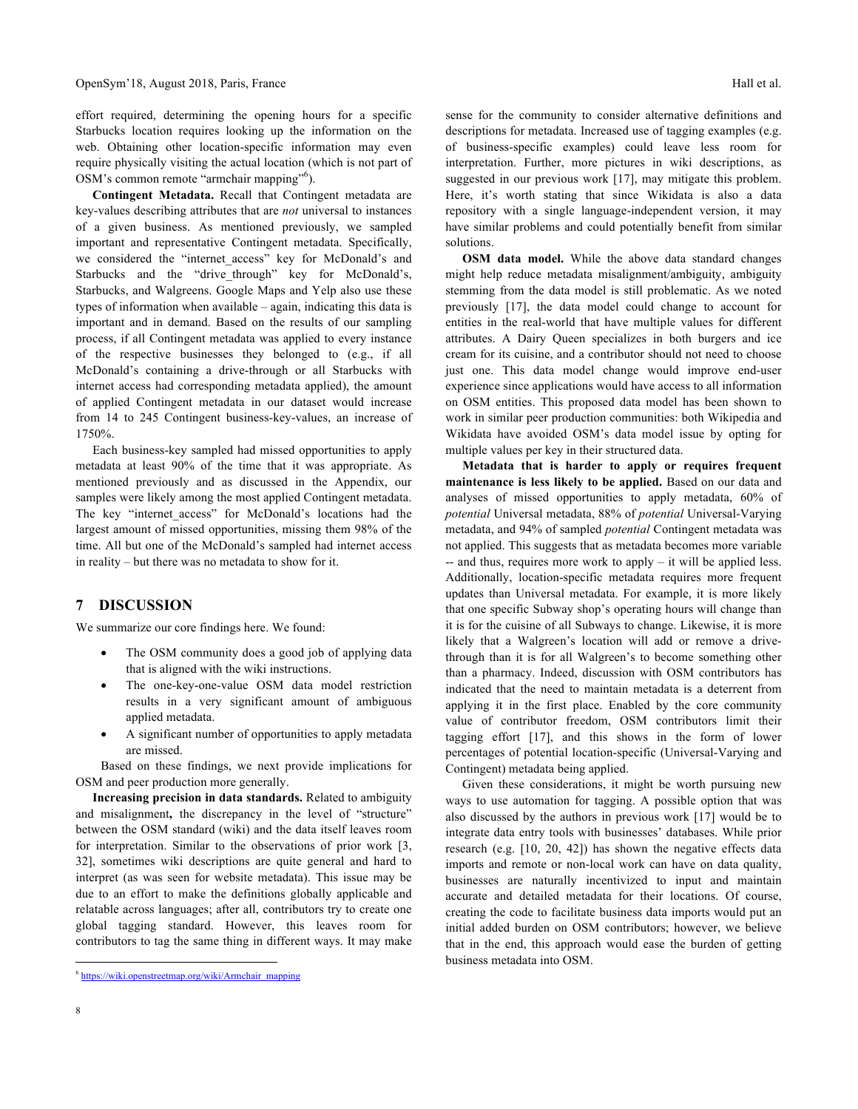effort required, determining the opening hours for a specific Starbucks location requires looking up the information on the web. Obtaining other location-specific information may even require physically visiting the actual location (which is not part of OSM's common remote "armchair mapping"<sup>6</sup>).

**Contingent Metadata.** Recall that Contingent metadata are key-values describing attributes that are *not* universal to instances of a given business. As mentioned previously, we sampled important and representative Contingent metadata. Specifically, we considered the "internet access" key for McDonald's and Starbucks and the "drive through" key for McDonald's, Starbucks, and Walgreens. Google Maps and Yelp also use these types of information when available – again, indicating this data is important and in demand. Based on the results of our sampling process, if all Contingent metadata was applied to every instance of the respective businesses they belonged to (e.g., if all McDonald's containing a drive-through or all Starbucks with internet access had corresponding metadata applied), the amount of applied Contingent metadata in our dataset would increase from 14 to 245 Contingent business-key-values, an increase of 1750%.

Each business-key sampled had missed opportunities to apply metadata at least 90% of the time that it was appropriate. As mentioned previously and as discussed in the Appendix, our samples were likely among the most applied Contingent metadata. The key "internet access" for McDonald's locations had the largest amount of missed opportunities, missing them 98% of the time. All but one of the McDonald's sampled had internet access in reality – but there was no metadata to show for it.

## **7 DISCUSSION**

We summarize our core findings here. We found:

- The OSM community does a good job of applying data that is aligned with the wiki instructions.
- The one-key-one-value OSM data model restriction results in a very significant amount of ambiguous applied metadata.
- A significant number of opportunities to apply metadata are missed.

Based on these findings, we next provide implications for OSM and peer production more generally.

**Increasing precision in data standards.** Related to ambiguity and misalignment**,** the discrepancy in the level of "structure" between the OSM standard (wiki) and the data itself leaves room for interpretation. Similar to the observations of prior work [3, 32], sometimes wiki descriptions are quite general and hard to interpret (as was seen for website metadata). This issue may be due to an effort to make the definitions globally applicable and relatable across languages; after all, contributors try to create one global tagging standard. However, this leaves room for contributors to tag the same thing in different ways. It may make

sense for the community to consider alternative definitions and descriptions for metadata. Increased use of tagging examples (e.g. of business-specific examples) could leave less room for interpretation. Further, more pictures in wiki descriptions, as suggested in our previous work [17], may mitigate this problem. Here, it's worth stating that since Wikidata is also a data repository with a single language-independent version, it may have similar problems and could potentially benefit from similar solutions.

**OSM data model.** While the above data standard changes might help reduce metadata misalignment/ambiguity, ambiguity stemming from the data model is still problematic. As we noted previously [17], the data model could change to account for entities in the real-world that have multiple values for different attributes. A Dairy Queen specializes in both burgers and ice cream for its cuisine, and a contributor should not need to choose just one. This data model change would improve end-user experience since applications would have access to all information on OSM entities. This proposed data model has been shown to work in similar peer production communities: both Wikipedia and Wikidata have avoided OSM's data model issue by opting for multiple values per key in their structured data.

**Metadata that is harder to apply or requires frequent maintenance is less likely to be applied.** Based on our data and analyses of missed opportunities to apply metadata, 60% of *potential* Universal metadata, 88% of *potential* Universal-Varying metadata, and 94% of sampled *potential* Contingent metadata was not applied. This suggests that as metadata becomes more variable -- and thus, requires more work to apply – it will be applied less. Additionally, location-specific metadata requires more frequent updates than Universal metadata. For example, it is more likely that one specific Subway shop's operating hours will change than it is for the cuisine of all Subways to change. Likewise, it is more likely that a Walgreen's location will add or remove a drivethrough than it is for all Walgreen's to become something other than a pharmacy. Indeed, discussion with OSM contributors has indicated that the need to maintain metadata is a deterrent from applying it in the first place. Enabled by the core community value of contributor freedom, OSM contributors limit their tagging effort [17], and this shows in the form of lower percentages of potential location-specific (Universal-Varying and Contingent) metadata being applied.

Given these considerations, it might be worth pursuing new ways to use automation for tagging. A possible option that was also discussed by the authors in previous work [17] would be to integrate data entry tools with businesses' databases. While prior research (e.g. [10, 20, 42]) has shown the negative effects data imports and remote or non-local work can have on data quality, businesses are naturally incentivized to input and maintain accurate and detailed metadata for their locations. Of course, creating the code to facilitate business data imports would put an initial added burden on OSM contributors; however, we believe that in the end, this approach would ease the burden of getting business metadata into OSM.

 <sup>6</sup> https://wiki.openstreetmap.org/wiki/Armchair\_mapping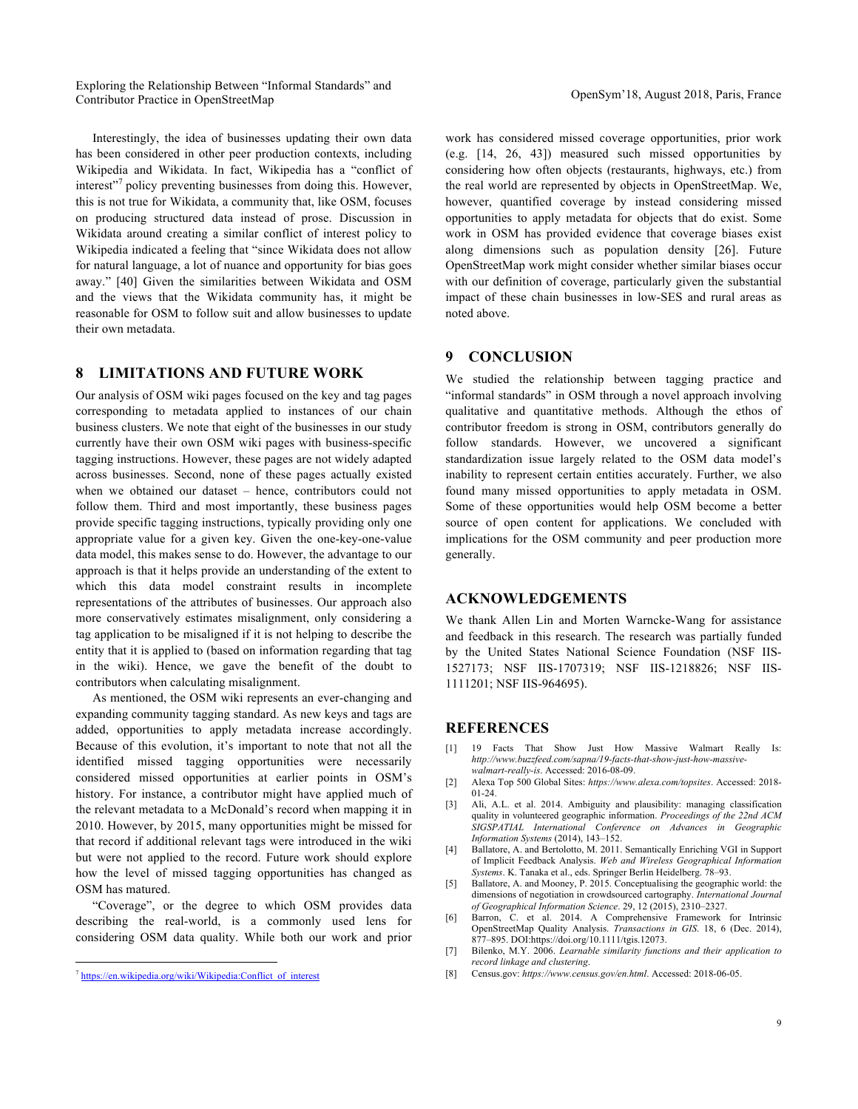Exploring the Relationship Between "Informal Standards" and Exploring the reductionship Between Informational Sumatrics and<br>Contributor Practice in OpenStreetMap OpenSym'18, August 2018, Paris, France

Interestingly, the idea of businesses updating their own data has been considered in other peer production contexts, including Wikipedia and Wikidata. In fact, Wikipedia has a "conflict of interest<sup>17</sup> policy preventing businesses from doing this. However, this is not true for Wikidata, a community that, like OSM, focuses on producing structured data instead of prose. Discussion in Wikidata around creating a similar conflict of interest policy to Wikipedia indicated a feeling that "since Wikidata does not allow for natural language, a lot of nuance and opportunity for bias goes away." [40] Given the similarities between Wikidata and OSM and the views that the Wikidata community has, it might be reasonable for OSM to follow suit and allow businesses to update their own metadata.

## **8 LIMITATIONS AND FUTURE WORK**

Our analysis of OSM wiki pages focused on the key and tag pages corresponding to metadata applied to instances of our chain business clusters. We note that eight of the businesses in our study currently have their own OSM wiki pages with business-specific tagging instructions. However, these pages are not widely adapted across businesses. Second, none of these pages actually existed when we obtained our dataset – hence, contributors could not follow them. Third and most importantly, these business pages provide specific tagging instructions, typically providing only one appropriate value for a given key. Given the one-key-one-value data model, this makes sense to do. However, the advantage to our approach is that it helps provide an understanding of the extent to which this data model constraint results in incomplete representations of the attributes of businesses. Our approach also more conservatively estimates misalignment, only considering a tag application to be misaligned if it is not helping to describe the entity that it is applied to (based on information regarding that tag in the wiki). Hence, we gave the benefit of the doubt to contributors when calculating misalignment.

As mentioned, the OSM wiki represents an ever-changing and expanding community tagging standard. As new keys and tags are added, opportunities to apply metadata increase accordingly. Because of this evolution, it's important to note that not all the identified missed tagging opportunities were necessarily considered missed opportunities at earlier points in OSM's history. For instance, a contributor might have applied much of the relevant metadata to a McDonald's record when mapping it in 2010. However, by 2015, many opportunities might be missed for that record if additional relevant tags were introduced in the wiki but were not applied to the record. Future work should explore how the level of missed tagging opportunities has changed as OSM has matured.

"Coverage", or the degree to which OSM provides data describing the real-world, is a commonly used lens for considering OSM data quality. While both our work and prior

work has considered missed coverage opportunities, prior work (e.g. [14, 26, 43]) measured such missed opportunities by considering how often objects (restaurants, highways, etc.) from the real world are represented by objects in OpenStreetMap. We, however, quantified coverage by instead considering missed opportunities to apply metadata for objects that do exist. Some work in OSM has provided evidence that coverage biases exist along dimensions such as population density [26]. Future OpenStreetMap work might consider whether similar biases occur with our definition of coverage, particularly given the substantial impact of these chain businesses in low-SES and rural areas as noted above.

## **9 CONCLUSION**

We studied the relationship between tagging practice and "informal standards" in OSM through a novel approach involving qualitative and quantitative methods. Although the ethos of contributor freedom is strong in OSM, contributors generally do follow standards. However, we uncovered a significant standardization issue largely related to the OSM data model's inability to represent certain entities accurately. Further, we also found many missed opportunities to apply metadata in OSM. Some of these opportunities would help OSM become a better source of open content for applications. We concluded with implications for the OSM community and peer production more generally.

## **ACKNOWLEDGEMENTS**

We thank Allen Lin and Morten Warncke-Wang for assistance and feedback in this research. The research was partially funded by the United States National Science Foundation (NSF IIS-1527173; NSF IIS-1707319; NSF IIS-1218826; NSF IIS-1111201; NSF IIS-964695).

### **REFERENCES**

- [1] 19 Facts That Show Just How Massive Walmart Really Is: *http://www.buzzfeed.com/sapna/19-facts-that-show-just-how-massivewalmart-really-is*. Accessed: 2016-08-09.
- [2] Alexa Top 500 Global Sites: *https://www.alexa.com/topsites*. Accessed: 2018- 01-24.
- [3] Ali, A.L. et al. 2014. Ambiguity and plausibility: managing classification quality in volunteered geographic information. *Proceedings of the 22nd ACM SIGSPATIAL International Conference on Advances in Geographic Information Systems* (2014), 143–152.
- [4] Ballatore, A. and Bertolotto, M. 2011. Semantically Enriching VGI in Support of Implicit Feedback Analysis. *Web and Wireless Geographical Information Systems*. K. Tanaka et al., eds. Springer Berlin Heidelberg. 78–93.
- [5] Ballatore, A. and Mooney, P. 2015. Conceptualising the geographic world: the dimensions of negotiation in crowdsourced cartography. *International Journal of Geographical Information Science*. 29, 12 (2015), 2310–2327.
- [6] Barron, C. et al. 2014. A Comprehensive Framework for Intrinsic OpenStreetMap Quality Analysis. *Transactions in GIS*. 18, 6 (Dec. 2014), 877–895. DOI:https://doi.org/10.1111/tgis.12073.
- [7] Bilenko, M.Y. 2006. *Learnable similarity functions and their application to record linkage and clustering*.
- [8] Census.gov: *https://www.census.gov/en.html*. Accessed: 2018-06-05.

 <sup>7</sup> https://en.wikipedia.org/wiki/Wikipedia:Conflict\_of\_interest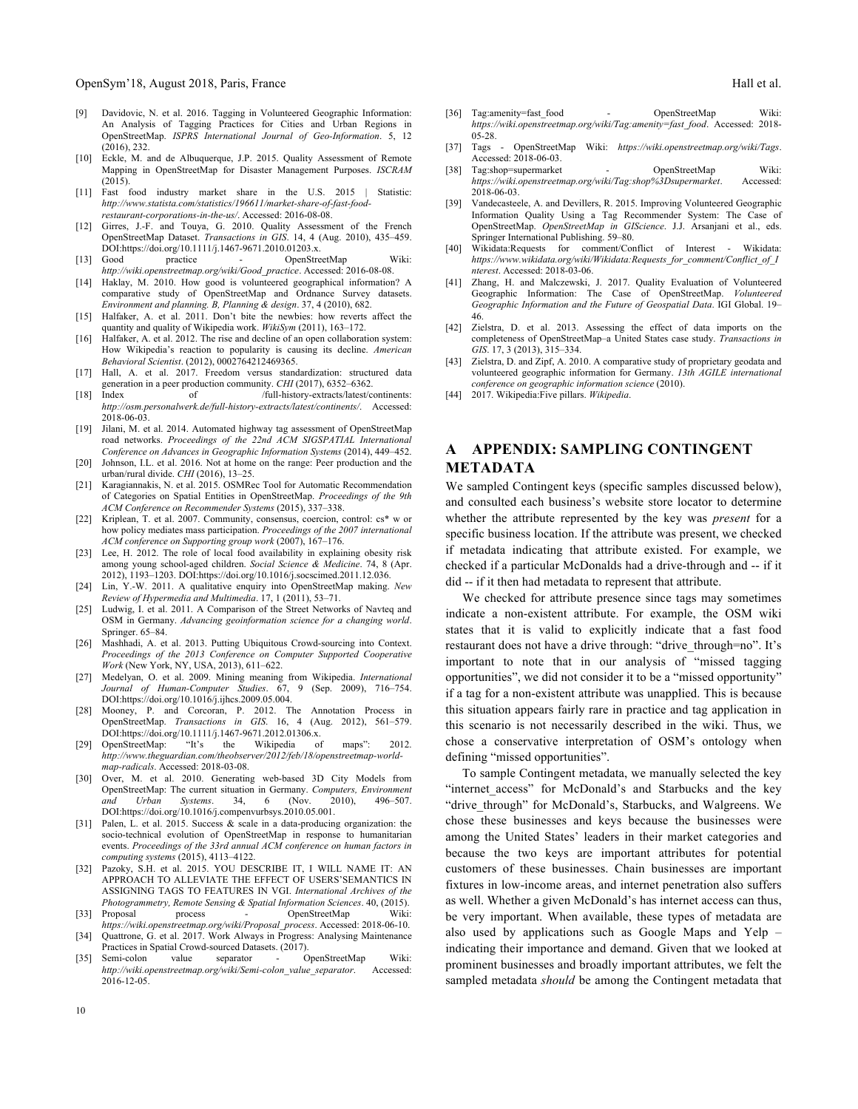#### OpenSym'18, August 2018, Paris, France Hall et al.

- [9] Davidovic, N. et al. 2016. Tagging in Volunteered Geographic Information: An Analysis of Tagging Practices for Cities and Urban Regions in OpenStreetMap. *ISPRS International Journal of Geo-Information*. 5, 12 (2016), 232.
- [10] Eckle, M. and de Albuquerque, J.P. 2015. Quality Assessment of Remote Mapping in OpenStreetMap for Disaster Management Purposes. *ISCRAM* (2015).
- [11] Fast food industry market share in the U.S. 2015 | Statistic: *http://www.statista.com/statistics/196611/market-share-of-fast-foodrestaurant-corporations-in-the-us/*. Accessed: 2016-08-08.
- [12] Girres, J.-F. and Touya, G. 2010. Quality Assessment of the French OpenStreetMap Dataset. *Transactions in GIS*. 14, 4 (Aug. 2010), 435–459. DOI:https://doi.org/10.1111/j.1467-9671.2010.01203.x.<br>Good practice - OpenStre
- [13] Good practice OpenStreetMap Wiki: *http://wiki.openstreetmap.org/wiki/Good\_practice*. Accessed: 2016-08-08.
- [14] Haklay, M. 2010. How good is volunteered geographical information? A comparative study of OpenStreetMap and Ordnance Survey datasets. *Environment and planning. B, Planning & design*. 37, 4 (2010), 682.
- [15] Halfaker, A. et al. 2011. Don't bite the newbies: how reverts affect the quantity and quality of Wikipedia work. *WikiSym* (2011), 163–172.
- [16] Halfaker, A. et al. 2012. The rise and decline of an open collaboration system: How Wikipedia's reaction to popularity is causing its decline. *American Behavioral Scientist*. (2012), 0002764212469365.
- [17] Hall, A. et al. 2017. Freedom versus standardization: structured data generation in a peer production community. *CHI* (2017), 6352–6362.<br>[18] Index of /full-history-extracts/latest/community/
- of /full-history-extracts/latest/continents: *http://osm.personalwerk.de/full-history-extracts/latest/continents/*. Accessed: 2018-06-03.
- [19] Jilani, M. et al. 2014. Automated highway tag assessment of OpenStreetMap road networks. *Proceedings of the 22nd ACM SIGSPATIAL International Conference on Advances in Geographic Information Systems* (2014), 449–452.
- [20] Johnson, I.L. et al. 2016. Not at home on the range: Peer production and the urban/rural divide. *CHI* (2016), 13–25.
- [21] Karagiannakis, N. et al. 2015. OSMRec Tool for Automatic Recommendation of Categories on Spatial Entities in OpenStreetMap. *Proceedings of the 9th ACM Conference on Recommender Systems* (2015), 337–338.
- [22] Kriplean, T. et al. 2007. Community, consensus, coercion, control: cs\* w or how policy mediates mass participation. *Proceedings of the 2007 international ACM conference on Supporting group work* (2007), 167–176.
- [23] Lee, H. 2012. The role of local food availability in explaining obesity risk among young school-aged children. *Social Science & Medicine*. 74, 8 (Apr. 2012), 1193–1203. DOI:https://doi.org/10.1016/j.socscimed.2011.12.036.
- [24] Lin, Y.-W. 2011. A qualitative enquiry into OpenStreetMap making. *New Review of Hypermedia and Multimedia*. 17, 1 (2011), 53–71.
- [25] Ludwig, I. et al. 2011. A Comparison of the Street Networks of Navteq and OSM in Germany. *Advancing geoinformation science for a changing world*. Springer. 65–84.
- [26] Mashhadi, A. et al. 2013. Putting Ubiquitous Crowd-sourcing into Context. *Proceedings of the 2013 Conference on Computer Supported Cooperative Work* (New York, NY, USA, 2013), 611–622.
- [27] Medelyan, O. et al. 2009. Mining meaning from Wikipedia. *International Journal of Human-Computer Studies*. 67, 9 (Sep. 2009), 716–754. DOI:https://doi.org/10.1016/j.ijhcs.2009.05.004.
- [28] Mooney, P. and Corcoran, P. 2012. The Annotation Process in OpenStreetMap. *Transactions in GIS*. 16, 4 (Aug. 2012), 561–579. DOI:https://doi.org/10.1111/j.1467-9671.2012.01306.x.<br>OpenStreetMan: "It's the Wikipedia of
- [29] OpenStreetMap: "It's the Wikipedia of maps": 2012. *http://www.theguardian.com/theobserver/2012/feb/18/openstreetmap-worldmap-radicals*. Accessed: 2018-03-08.
- [30] Over, M. et al. 2010. Generating web-based 3D City Models from OpenStreetMap: The current situation in Germany. *Computers, Environment and Urban Systems*. 34, 6 (Nov. 2010), 496–507. DOI:https://doi.org/10.1016/j.compenvurbsys.2010.05.001.
- [31] Palen, L. et al. 2015. Success & scale in a data-producing organization: the socio-technical evolution of OpenStreetMap in response to humanitarian events. *Proceedings of the 33rd annual ACM conference on human factors in computing systems* (2015), 4113–4122.
- [32] Pazoky, S.H. et al. 2015. YOU DESCRIBE IT, I WILL NAME IT: AN APPROACH TO ALLEVIATE THE EFFECT OF USERS'SEMANTICS IN ASSIGNING TAGS TO FEATURES IN VGI. *International Archives of the Photogrammetry, Remote Sensing & Spatial Information Sciences*. 40, (2015).
- process OpenStreetMap Wiki: *https://wiki.openstreetmap.org/wiki/Proposal\_process*. Accessed: 2018-06-10.
- [34] Quattrone, G. et al. 2017. Work Always in Progress: Analysing Maintenance Practices in Spatial Crowd-sourced Datasets. (2017).
- [35] Semi-colon value separator OpenStreetMap Wiki: *http://wiki.openstreetmap.org/wiki/Semi-colon\_value\_separator*. Accessed: 2016-12-05.
- [36] Tag:amenity=fast\_food OpenStreetMap Wiki: *https://wiki.openstreetmap.org/wiki/Tag:amenity=fast\_food*. Accessed: 2018- 05-28.
- [37] Tags OpenStreetMap Wiki: *https://wiki.openstreetmap.org/wiki/Tags*. Accessed: 2018-06-03.
- [38] Tag:shop=supermarket OpenStreetMap Wiki *https://wiki.openstreetmap.org/wiki/Tag:shop%3Dsupermarket*. Accessed: 2018-06-03.
- [39] Vandecasteele, A. and Devillers, R. 2015. Improving Volunteered Geographic Information Quality Using a Tag Recommender System: The Case of OpenStreetMap. *OpenStreetMap in GIScience*. J.J. Arsanjani et al., eds. Springer International Publishing. 59–80.
- [40] Wikidata:Requests for comment/Conflict of Interest Wikidata: *https://www.wikidata.org/wiki/Wikidata:Requests\_for\_comment/Conflict\_of\_I nterest*. Accessed: 2018-03-06.
- [41] Zhang, H. and Malczewski, J. 2017. Quality Evaluation of Volunteered Geographic Information: The Case of OpenStreetMap. *Volunteered Geographic Information and the Future of Geospatial Data*. IGI Global. 19– 46.
- [42] Zielstra, D. et al. 2013. Assessing the effect of data imports on the completeness of OpenStreetMap–a United States case study. *Transactions in GIS*. 17, 3 (2013), 315–334.
- [43] Zielstra, D. and Zipf, A. 2010. A comparative study of proprietary geodata and volunteered geographic information for Germany. *13th AGILE international conference on geographic information science* (2010).
- [44] 2017. Wikipedia:Five pillars. *Wikipedia*.

## **A APPENDIX: SAMPLING CONTINGENT METADATA**

We sampled Contingent keys (specific samples discussed below), and consulted each business's website store locator to determine whether the attribute represented by the key was *present* for a specific business location. If the attribute was present, we checked if metadata indicating that attribute existed. For example, we checked if a particular McDonalds had a drive-through and -- if it did -- if it then had metadata to represent that attribute.

We checked for attribute presence since tags may sometimes indicate a non-existent attribute. For example, the OSM wiki states that it is valid to explicitly indicate that a fast food restaurant does not have a drive through: "drive\_through=no". It's important to note that in our analysis of "missed tagging opportunities", we did not consider it to be a "missed opportunity" if a tag for a non-existent attribute was unapplied. This is because this situation appears fairly rare in practice and tag application in this scenario is not necessarily described in the wiki. Thus, we chose a conservative interpretation of OSM's ontology when defining "missed opportunities".

To sample Contingent metadata, we manually selected the key "internet access" for McDonald's and Starbucks and the key "drive through" for McDonald's, Starbucks, and Walgreens. We chose these businesses and keys because the businesses were among the United States' leaders in their market categories and because the two keys are important attributes for potential customers of these businesses. Chain businesses are important fixtures in low-income areas, and internet penetration also suffers as well. Whether a given McDonald's has internet access can thus, be very important. When available, these types of metadata are also used by applications such as Google Maps and Yelp – indicating their importance and demand. Given that we looked at prominent businesses and broadly important attributes, we felt the sampled metadata *should* be among the Contingent metadata that